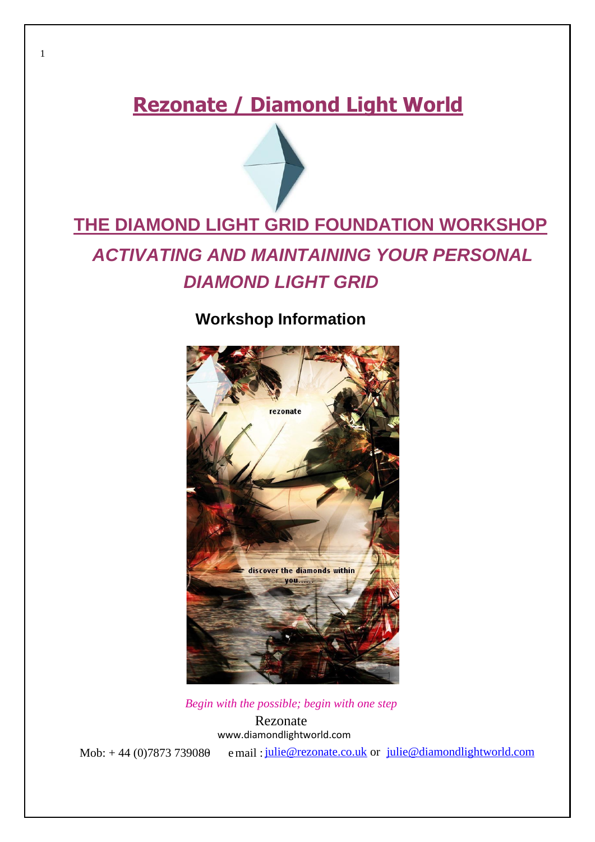## **Rezonate / Diamond Light World**

# **THE DIAMOND LIGHT GRID FOUNDATION WORKSHOP** *ACTIVATING AND MAINTAINING YOUR PERSONAL DIAMOND LIGHT GRID*

## **Workshop Information**



*Begin with the possible; begin with one step*

Rezonate [www.diamondlightworld.com](http://www.diamondlightworld.com/)

1

Mob:  $+ 44 (0)7873 739080$  e mail:  $julie@rezonate.co.uk$  $julie@rezonate.co.uk$  $julie@rezonate.co.uk$  or  $julie@diamond@iamondlightworld.com$ </u></u>